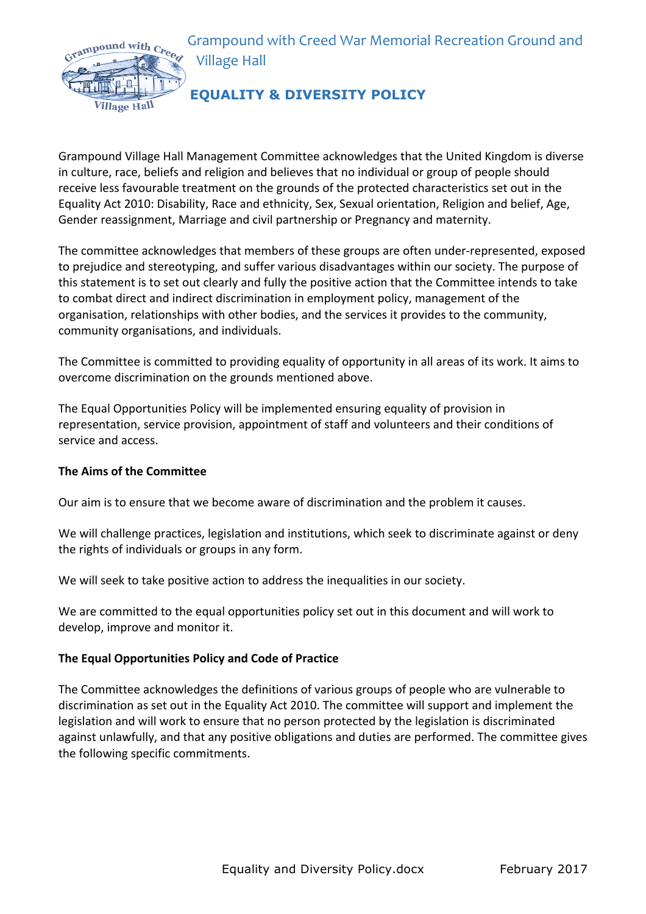Grampound with Creed War Memorial Recreation Ground and **Village Hall** 



# **EQUALITY & DIVERSITY POLICY**

Grampound Village Hall Management Committee acknowledges that the United Kingdom is diverse in culture, race, beliefs and religion and believes that no individual or group of people should receive less favourable treatment on the grounds of the protected characteristics set out in the Equality Act 2010: Disability, Race and ethnicity, Sex, Sexual orientation, Religion and belief, Age, Gender reassignment, Marriage and civil partnership or Pregnancy and maternity.

The committee acknowledges that members of these groups are often under-represented, exposed to prejudice and stereotyping, and suffer various disadvantages within our society. The purpose of this statement is to set out clearly and fully the positive action that the Committee intends to take to combat direct and indirect discrimination in employment policy, management of the organisation, relationships with other bodies, and the services it provides to the community, community organisations, and individuals.

The Committee is committed to providing equality of opportunity in all areas of its work. It aims to overcome discrimination on the grounds mentioned above.

The Equal Opportunities Policy will be implemented ensuring equality of provision in representation, service provision, appointment of staff and volunteers and their conditions of service and access.

## **The Aims of the Committee**

Our aim is to ensure that we become aware of discrimination and the problem it causes.

We will challenge practices, legislation and institutions, which seek to discriminate against or deny the rights of individuals or groups in any form.

We will seek to take positive action to address the inequalities in our society.

We are committed to the equal opportunities policy set out in this document and will work to develop, improve and monitor it.

## **The Equal Opportunities Policy and Code of Practice**

The Committee acknowledges the definitions of various groups of people who are vulnerable to discrimination as set out in the Equality Act 2010. The committee will support and implement the legislation and will work to ensure that no person protected by the legislation is discriminated against unlawfully, and that any positive obligations and duties are performed. The committee gives the following specific commitments.